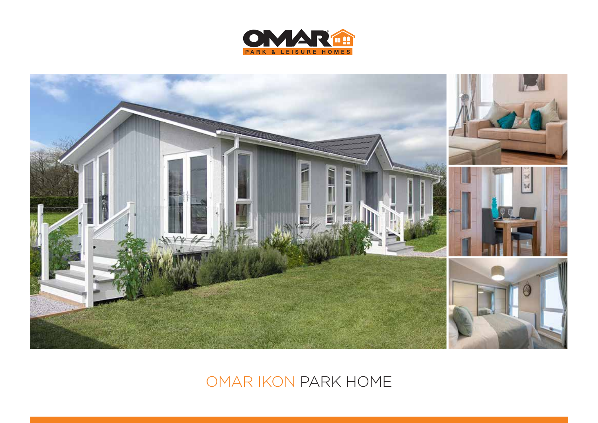



## OMAR IKON PARK HOME